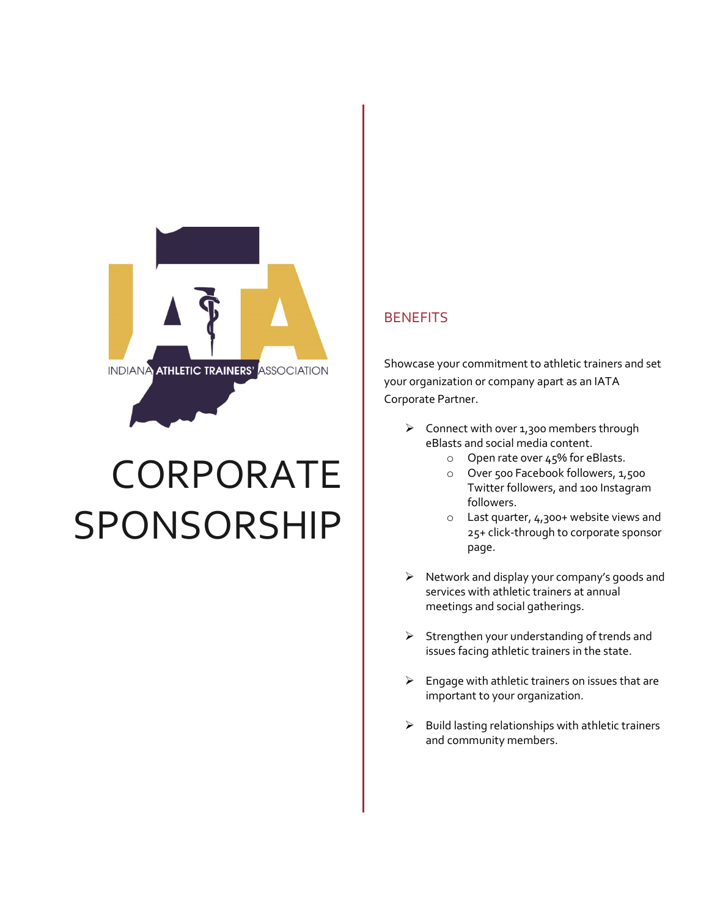

# CORPORATE SPONSORSHIP

## **BENEFITS**

Showcase your commitment to athletic trainers and set your organization or company apart as an IATA Corporate Partner.

- $\triangleright$  Connect with over 1,300 members through eBlasts and social media content.
	- o Open rate over 45% for eBlasts.
	- o Over 500 Facebook followers, 1,500 Twitter followers, and 100 Instagram followers.
	- $\circ$  Last quarter, 4,300+ website views and 25+ click-through to corporate sponsor page.
- $\triangleright$  Network and display your company's goods and services with athletic trainers at annual meetings and social gatherings.
- $\triangleright$  Strengthen your understanding of trends and issues facing athletic trainers in the state.
- $\triangleright$  Engage with athletic trainers on issues that are important to your organization.
- $\triangleright$  Build lasting relationships with athletic trainers and community members.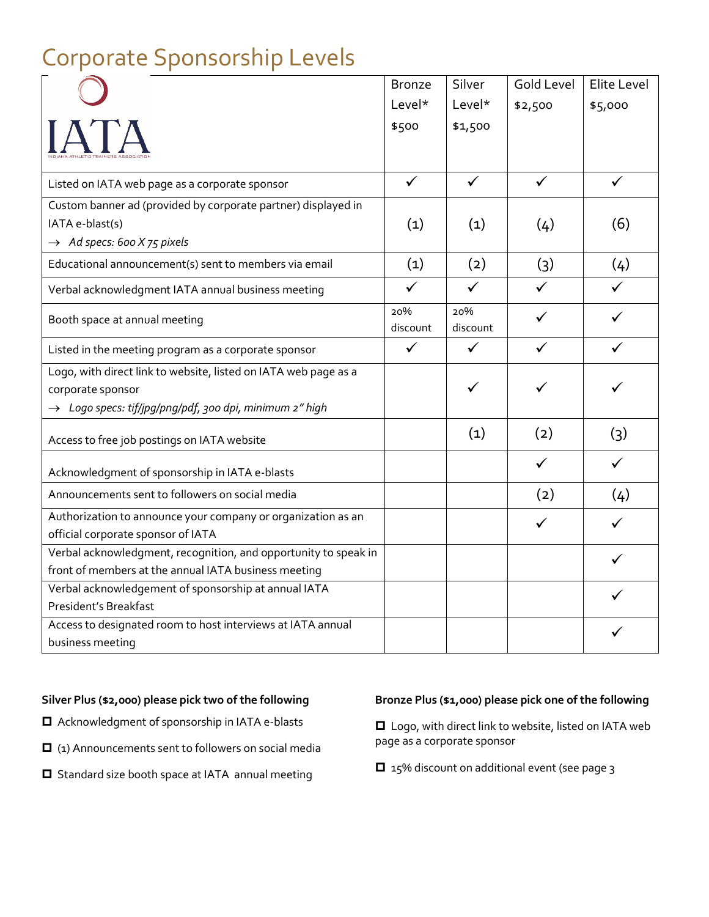|                                                                                                                                                             | <b>Bronze</b>   | Silver          | <b>Gold Level</b> | Elite Level  |
|-------------------------------------------------------------------------------------------------------------------------------------------------------------|-----------------|-----------------|-------------------|--------------|
|                                                                                                                                                             | Level*          | $Level*$        | \$2,500           | \$5,000      |
|                                                                                                                                                             | \$500           | \$1,500         |                   |              |
| Listed on IATA web page as a corporate sponsor                                                                                                              | $\checkmark$    | $\checkmark$    | $\checkmark$      | $\checkmark$ |
| Custom banner ad (provided by corporate partner) displayed in<br>IATA e-blast(s)<br>$\rightarrow$ Ad specs: 600 X 75 pixels                                 | (1)             | (1)             | (4)               | (6)          |
| Educational announcement(s) sent to members via email                                                                                                       | (1)             | (2)             | (3)               | (4)          |
| Verbal acknowledgment IATA annual business meeting                                                                                                          | $\checkmark$    | $\checkmark$    | ✓                 |              |
| Booth space at annual meeting                                                                                                                               | 20%<br>discount | 20%<br>discount | ✓                 |              |
| Listed in the meeting program as a corporate sponsor                                                                                                        | $\checkmark$    | $\checkmark$    |                   | ✓            |
| Logo, with direct link to website, listed on IATA web page as a<br>corporate sponsor<br>$\rightarrow$ Logo specs: tif/jpg/png/pdf, 300 dpi, minimum 2" high |                 |                 |                   |              |
| Access to free job postings on IATA website                                                                                                                 |                 | (1)             | (2)               | (3)          |
| Acknowledgment of sponsorship in IATA e-blasts                                                                                                              |                 |                 | ✓                 |              |
| Announcements sent to followers on social media                                                                                                             |                 |                 | (2)               | (4)          |
| Authorization to announce your company or organization as an<br>official corporate sponsor of IATA                                                          |                 |                 | ✓                 |              |
| Verbal acknowledgment, recognition, and opportunity to speak in<br>front of members at the annual IATA business meeting                                     |                 |                 |                   |              |
| Verbal acknowledgement of sponsorship at annual IATA<br>President's Breakfast                                                                               |                 |                 |                   |              |
| Access to designated room to host interviews at IATA annual<br>business meeting                                                                             |                 |                 |                   |              |

# Corporate Sponsorship Levels

#### **Silver Plus (\$2,000) please pick two of the following**

- Acknowledgment of sponsorship in IATA e-blasts
- $\Box$  (1) Announcements sent to followers on social media
- □ Standard size booth space at IATA annual meeting

#### **Bronze Plus (\$1,000) please pick one of the following**

□ Logo, with direct link to website, listed on IATA web page as a corporate sponsor

□ 15% discount on additional event (see page 3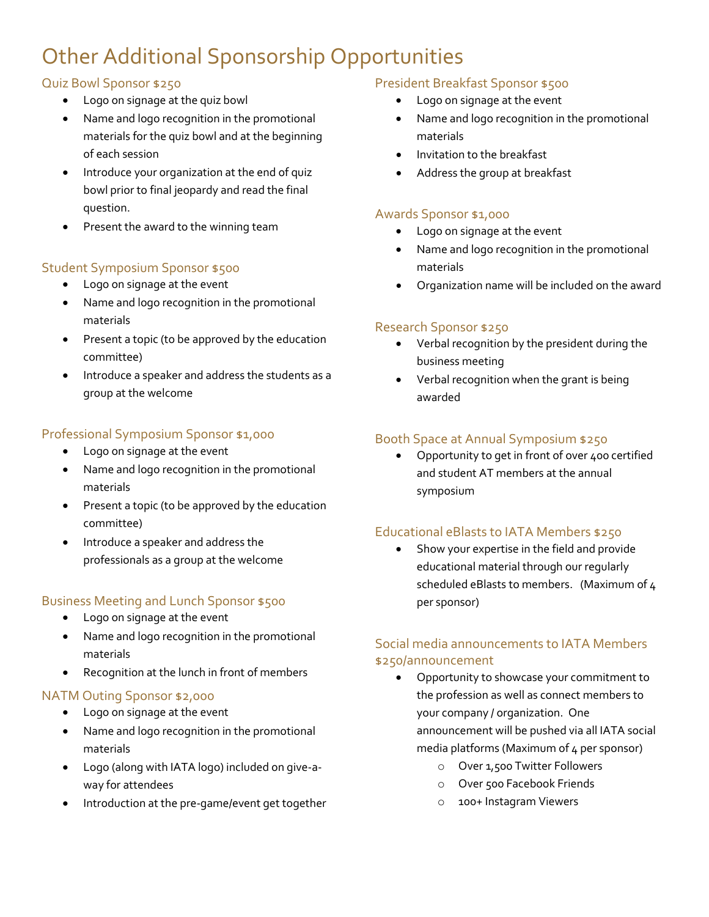# Other Additional Sponsorship Opportunities

#### Quiz Bowl Sponsor \$250

- Logo on signage at the quiz bowl
- Name and logo recognition in the promotional materials for the quiz bowl and at the beginning of each session
- Introduce your organization at the end of quiz bowl prior to final jeopardy and read the final question.
- Present the award to the winning team

## Student Symposium Sponsor \$500

- Logo on signage at the event
- Name and logo recognition in the promotional materials
- Present a topic (to be approved by the education committee)
- Introduce a speaker and address the students as a group at the welcome

#### Professional Symposium Sponsor \$1,000

- Logo on signage at the event
- Name and logo recognition in the promotional materials
- Present a topic (to be approved by the education committee)
- Introduce a speaker and address the professionals as a group at the welcome

## Business Meeting and Lunch Sponsor \$500

- Logo on signage at the event
- Name and logo recognition in the promotional materials
- Recognition at the lunch in front of members

#### NATM Outing Sponsor \$2,000

- Logo on signage at the event
- Name and logo recognition in the promotional materials
- Logo (along with IATA logo) included on give-away for attendees
- Introduction at the pre-game/event get together

#### President Breakfast Sponsor \$500

- Logo on signage at the event
- Name and logo recognition in the promotional materials
- Invitation to the breakfast
- Address the group at breakfast

#### Awards Sponsor \$1,000

- Logo on signage at the event
- Name and logo recognition in the promotional materials
- Organization name will be included on the award

#### Research Sponsor \$250

- Verbal recognition by the president during the business meeting
- Verbal recognition when the grant is being awarded

#### Booth Space at Annual Symposium \$250

• Opportunity to get in front of over 400 certified and student AT members at the annual symposium

## Educational eBlasts to IATA Members \$250

Show your expertise in the field and provide educational material through our regularly scheduled eBlasts to members. (Maximum of 4 per sponsor)

## Social media announcements to IATA Members \$250/announcement

- Opportunity to showcase your commitment to the profession as well as connect members to your company / organization. One announcement will be pushed via all IATA social media platforms (Maximum of 4 per sponsor)
	- o Over 1,500 Twitter Followers
	- o Over 500 Facebook Friends
	- o 100+ Instagram Viewers